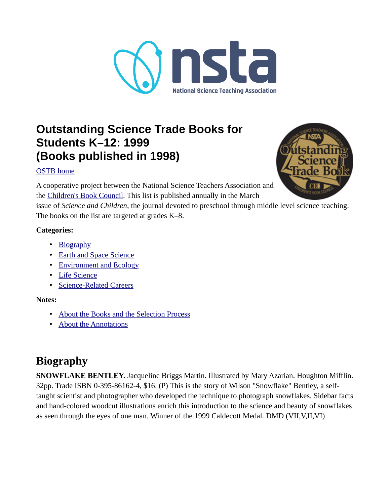

## **Outstanding Science Trade Books for Students K–12: 1999 (Books published in 1998)**

### [OSTB home](https://www.nsta.org/outstanding-science-trade-books-students-k-12)



A cooperative project between the National Science Teachers Association and the [Children's Book Council](http://www.CBCbooks.org/). This list is published annually in the March

issue of *Science and Children*, the journal devoted to preschool through middle level science teaching. The books on the list are targeted at grades K–8.

### **Categories:**

- • [Biography](#page-0-0)
- • [Earth and Space Science](#page-1-1)
- • [Environment and Ecology](#page-1-0)
- • [Life Science](#page-2-0)
- • [Science-Related Careers](#page-5-1)

#### **Notes:**

- • [About the Books and the Selection Process](#page-5-0)
- • [About the Annotations](#page-8-0)

# <span id="page-0-0"></span>**Biography**

**SNOWFLAKE BENTLEY.** Jacqueline Briggs Martin. Illustrated by Mary Azarian. Houghton Mifflin. 32pp. Trade ISBN 0-395-86162-4, \$16. (P) This is the story of Wilson "Snowflake" Bentley, a selftaught scientist and photographer who developed the technique to photograph snowflakes. Sidebar facts and hand-colored woodcut illustrations enrich this introduction to the science and beauty of snowflakes as seen through the eyes of one man. Winner of the 1999 Caldecott Medal. DMD (VII,V,II,VI)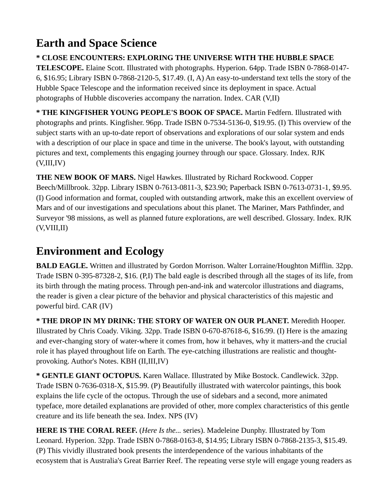# <span id="page-1-1"></span>**Earth and Space Science**

**\* CLOSE ENCOUNTERS: EXPLORING THE UNIVERSE WITH THE HUBBLE SPACE TELESCOPE.** Elaine Scott. Illustrated with photographs. Hyperion. 64pp. Trade ISBN 0-7868-0147- 6, \$16.95; Library ISBN 0-7868-2120-5, \$17.49. (I, A) An easy-to-understand text tells the story of the Hubble Space Telescope and the information received since its deployment in space. Actual photographs of Hubble discoveries accompany the narration. Index. CAR (V,II)

**\* THE KINGFISHER YOUNG PEOPLE'S BOOK OF SPACE.** Martin Fedfern. Illustrated with photographs and prints. Kingfisher. 96pp. Trade ISBN 0-7534-5136-0, \$19.95. (I) This overview of the subject starts with an up-to-date report of observations and explorations of our solar system and ends with a description of our place in space and time in the universe. The book's layout, with outstanding pictures and text, complements this engaging journey through our space. Glossary. Index. RJK  $(V, III, IV)$ 

**THE NEW BOOK OF MARS.** Nigel Hawkes. Illustrated by Richard Rockwood. Copper Beech/Millbrook. 32pp. Library ISBN 0-7613-0811-3, \$23.90; Paperback ISBN 0-7613-0731-1, \$9.95. (I) Good information and format, coupled with outstanding artwork, make this an excellent overview of Mars and of our investigations and speculations about this planet. The Mariner, Mars Pathfinder, and Surveyor '98 missions, as well as planned future explorations, are well described. Glossary. Index. RJK  $(V, VIII, II)$ 

### <span id="page-1-0"></span>**Environment and Ecology**

**BALD EAGLE.** Written and illustrated by Gordon Morrison. Walter Lorraine/Houghton Mifflin. 32pp. Trade ISBN 0-395-87328-2, \$16. (P,I) The bald eagle is described through all the stages of its life, from its birth through the mating process. Through pen-and-ink and watercolor illustrations and diagrams, the reader is given a clear picture of the behavior and physical characteristics of this majestic and powerful bird. CAR (IV)

**\* THE DROP IN MY DRINK: THE STORY OF WATER ON OUR PLANET.** Meredith Hooper. Illustrated by Chris Coady. Viking. 32pp. Trade ISBN 0-670-87618-6, \$16.99. (I) Here is the amazing and ever-changing story of water-where it comes from, how it behaves, why it matters-and the crucial role it has played throughout life on Earth. The eye-catching illustrations are realistic and thoughtprovoking. Author's Notes. KBH (II,III,IV)

**\* GENTLE GIANT OCTOPUS.** Karen Wallace. Illustrated by Mike Bostock. Candlewick. 32pp. Trade ISBN 0-7636-0318-X, \$15.99. (P) Beautifully illustrated with watercolor paintings, this book explains the life cycle of the octopus. Through the use of sidebars and a second, more animated typeface, more detailed explanations are provided of other, more complex characteristics of this gentle creature and its life beneath the sea. Index. NPS (IV)

**HERE IS THE CORAL REEF.** (*Here Is the...* series). Madeleine Dunphy. Illustrated by Tom Leonard. Hyperion. 32pp. Trade ISBN 0-7868-0163-8, \$14.95; Library ISBN 0-7868-2135-3, \$15.49. (P) This vividly illustrated book presents the interdependence of the various inhabitants of the ecosystem that is Australia's Great Barrier Reef. The repeating verse style will engage young readers as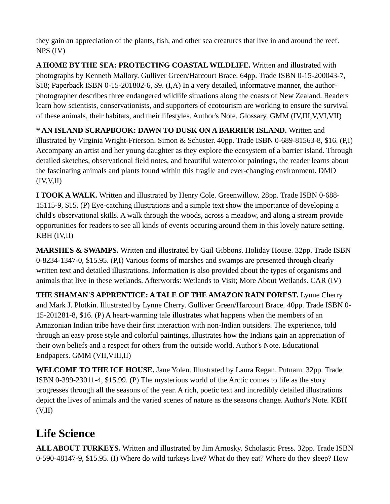they gain an appreciation of the plants, fish, and other sea creatures that live in and around the reef. NPS (IV)

**A HOME BY THE SEA: PROTECTING COASTAL WILDLIFE.** Written and illustrated with photographs by Kenneth Mallory. Gulliver Green/Harcourt Brace. 64pp. Trade ISBN 0-15-200043-7, \$18; Paperback ISBN 0-15-201802-6, \$9. (I,A) In a very detailed, informative manner, the authorphotographer describes three endangered wildlife situations along the coasts of New Zealand. Readers learn how scientists, conservationists, and supporters of ecotourism are working to ensure the survival of these animals, their habitats, and their lifestyles. Author's Note. Glossary. GMM (IV,III,V,VI,VII)

**\* AN ISLAND SCRAPBOOK: DAWN TO DUSK ON A BARRIER ISLAND.** Written and illustrated by Virginia Wright-Frierson. Simon & Schuster. 40pp. Trade ISBN 0-689-81563-8, \$16. (P,I) Accompany an artist and her young daughter as they explore the ecosystem of a barrier island. Through detailed sketches, observational field notes, and beautiful watercolor paintings, the reader learns about the fascinating animals and plants found within this fragile and ever-changing environment. DMD  $(IV, V, II)$ 

**I TOOK A WALK.** Written and illustrated by Henry Cole. Greenwillow. 28pp. Trade ISBN 0-688- 15115-9, \$15. (P) Eye-catching illustrations and a simple text show the importance of developing a child's observational skills. A walk through the woods, across a meadow, and along a stream provide opportunities for readers to see all kinds of events occuring around them in this lovely nature setting. KBH (IV,II)

**MARSHES & SWAMPS.** Written and illustrated by Gail Gibbons. Holiday House. 32pp. Trade ISBN 0-8234-1347-0, \$15.95. (P,I) Various forms of marshes and swamps are presented through clearly written text and detailed illustrations. Information is also provided about the types of organisms and animals that live in these wetlands. Afterwords: Wetlands to Visit; More About Wetlands. CAR (IV)

**THE SHAMAN'S APPRENTICE: A TALE OF THE AMAZON RAIN FOREST.** Lynne Cherry and Mark J. Plotkin. Illustrated by Lynne Cherry. Gulliver Green/Harcourt Brace. 40pp. Trade ISBN 0- 15-201281-8, \$16. (P) A heart-warming tale illustrates what happens when the members of an Amazonian Indian tribe have their first interaction with non-Indian outsiders. The experience, told through an easy prose style and colorful paintings, illustrates how the Indians gain an appreciation of their own beliefs and a respect for others from the outside world. Author's Note. Educational Endpapers. GMM (VII,VIII,II)

**WELCOME TO THE ICE HOUSE.** Jane Yolen. Illustrated by Laura Regan. Putnam. 32pp. Trade ISBN 0-399-23011-4, \$15.99. (P) The mysterious world of the Arctic comes to life as the story progresses through all the seasons of the year. A rich, poetic text and incredibly detailed illustrations depict the lives of animals and the varied scenes of nature as the seasons change. Author's Note. KBH  $(V,II)$ 

## <span id="page-2-0"></span>**Life Science**

**ALL ABOUT TURKEYS.** Written and illustrated by Jim Arnosky. Scholastic Press. 32pp. Trade ISBN 0-590-48147-9, \$15.95. (I) Where do wild turkeys live? What do they eat? Where do they sleep? How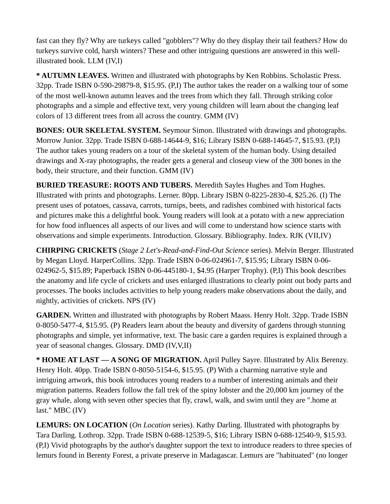fast can they fly? Why are turkeys called "gobblers"? Why do they display their tail feathers? How do turkeys survive cold, harsh winters? These and other intriguing questions are answered in this wellillustrated book. LLM (IV,I)

**\* AUTUMN LEAVES.** Written and illustrated with photographs by Ken Robbins. Scholastic Press. 32pp. Trade ISBN 0-590-29879-8, \$15.95. (P,I) The author takes the reader on a walking tour of some of the most well-known autumn leaves and the trees from which they fall. Through striking color photographs and a simple and effective text, very young children will learn about the changing leaf colors of 13 different trees from all across the country. GMM (IV)

**BONES: OUR SKELETAL SYSTEM.** Seymour Simon. Illustrated with drawings and photographs. Morrow Junior. 32pp. Trade ISBN 0-688-14644-9, \$16; Library ISBN 0-688-14645-7, \$15.93. (P,I) The author takes young readers on a tour of the skeletal system of the human body. Using detailed drawings and X-ray photographs, the reader gets a general and closeup view of the 300 bones in the body, their structure, and their function. GMM (IV)

**BURIED TREASURE: ROOTS AND TUBERS.** Meredith Sayles Hughes and Tom Hughes. Illustrated with prints and photographs. Lerner. 80pp. Library ISBN 0-8225-2830-4, \$25.26. (I) The present uses of potatoes, cassava, carrots, turnips, beets, and radishes combined with historical facts and pictures make this a delightful book. Young readers will look at a potato with a new appreciation for how food influences all aspects of our lives and will come to understand how science starts with observations and simple experiments. Introduction. Glossary. Bibliography. Index. RJK (VII,IV)

**CHIRPING CRICKETS** (*Stage 2 Let's-Read-and-Find-Out Science* series). Melvin Berger. Illustrated by Megan Lloyd. HarperCollins. 32pp. Trade ISBN 0-06-024961-7, \$15.95; Library ISBN 0-06- 024962-5, \$15.89; Paperback ISBN 0-06-445180-1, \$4.95 (Harper Trophy). (P,I) This book describes the anatomy and life cycle of crickets and uses enlarged illustrations to clearly point out body parts and processes. The books includes activities to help young readers make observations about the daily, and nightly, activities of crickets. NPS (IV)

**GARDEN.** Written and illustrated with photographs by Robert Maass. Henry Holt. 32pp. Trade ISBN 0-8050-5477-4, \$15.95. (P) Readers learn about the beauty and diversity of gardens through stunning photographs and simple, yet informative, text. The basic care a garden requires is explained through a year of seasonal changes. Glossary. DMD (IV,V,II)

**\* HOME AT LAST — A SONG OF MIGRATION.** April Pulley Sayre. Illustrated by Alix Berenzy. Henry Holt. 40pp. Trade ISBN 0-8050-5154-6, \$15.95. (P) With a charming narrative style and intriguing artwork, this book introduces young readers to a number of interesting animals and their migration patterns. Readers follow the fall trek of the spiny lobster and the 20,000 km journey of the gray whale, along with seven other species that fly, crawl, walk, and swim until they are ".home at last." MBC (IV)

**LEMURS: ON LOCATION** (*On Location* series). Kathy Darling. Illustrated with photographs by Tara Darling. Lothrop. 32pp. Trade ISBN 0-688-12539-5, \$16; Library ISBN 0-688-12540-9, \$15.93. (P,I) Vivid photographs by the author's daughter support the text to introduce readers to three species of lemurs found in Berenty Forest, a private preserve in Madagascar. Lemurs are "habituated" (no longer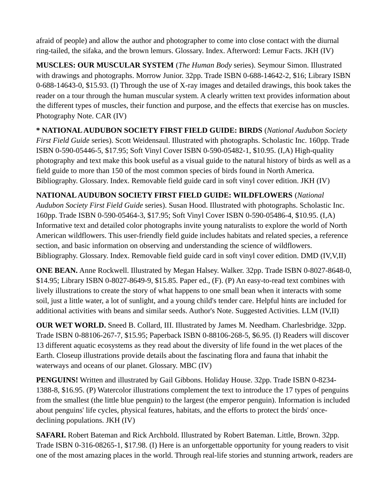afraid of people) and allow the author and photographer to come into close contact with the diurnal ring-tailed, the sifaka, and the brown lemurs. Glossary. Index. Afterword: Lemur Facts. JKH (IV)

**MUSCLES: OUR MUSCULAR SYSTEM** (*The Human Body* series). Seymour Simon. Illustrated with drawings and photographs. Morrow Junior. 32pp. Trade ISBN 0-688-14642-2, \$16; Library ISBN 0-688-14643-0, \$15.93. (I) Through the use of X-ray images and detailed drawings, this book takes the reader on a tour through the human muscular system. A clearly written text provides information about the different types of muscles, their function and purpose, and the effects that exercise has on muscles. Photography Note. CAR (IV)

**\* NATIONAL AUDUBON SOCIETY FIRST FIELD GUIDE: BIRDS** (*National Audubon Society First Field Guide* series). Scott Weidensaul. Illustrated with photographs. Scholastic Inc. 160pp. Trade ISBN 0-590-05446-5, \$17.95; Soft Vinyl Cover ISBN 0-590-05482-1, \$10.95. (I,A) High-quality photography and text make this book useful as a visual guide to the natural history of birds as well as a field guide to more than 150 of the most common species of birds found in North America. Bibliography. Glossary. Index. Removable field guide card in soft vinyl cover edition. JKH (IV)

**NATIONAL AUDUBON SOCIETY FIRST FIELD GUIDE: WILDFLOWERS** (*National Audubon Society First Field Guide* series). Susan Hood. Illustrated with photographs. Scholastic Inc. 160pp. Trade ISBN 0-590-05464-3, \$17.95; Soft Vinyl Cover ISBN 0-590-05486-4, \$10.95. (I,A) Informative text and detailed color photographs invite young naturalists to explore the world of North American wildflowers. This user-friendly field guide includes habitats and related species, a reference section, and basic information on observing and understanding the science of wildflowers. Bibliography. Glossary. Index. Removable field guide card in soft vinyl cover edition. DMD (IV,V,II)

**ONE BEAN.** Anne Rockwell. Illustrated by Megan Halsey. Walker. 32pp. Trade ISBN 0-8027-8648-0, \$14.95; Library ISBN 0-8027-8649-9, \$15.85. Paper ed., (F). (P) An easy-to-read text combines with lively illustrations to create the story of what happens to one small bean when it interacts with some soil, just a little water, a lot of sunlight, and a young child's tender care. Helpful hints are included for additional activities with beans and similar seeds. Author's Note. Suggested Activities. LLM (IV,II)

**OUR WET WORLD.** Sneed B. Collard, III. Illustrated by James M. Needham. Charlesbridge. 32pp. Trade ISBN 0-88106-267-7, \$15.95; Paperback ISBN 0-88106-268-5, \$6.95. (I) Readers will discover 13 different aquatic ecosystems as they read about the diversity of life found in the wet places of the Earth. Closeup illustrations provide details about the fascinating flora and fauna that inhabit the waterways and oceans of our planet. Glossary. MBC (IV)

**PENGUINS!** Written and illustrated by Gail Gibbons. Holiday House. 32pp. Trade ISBN 0-8234- 1388-8, \$16.95. (P) Watercolor illustrations complement the text to introduce the 17 types of penguins from the smallest (the little blue penguin) to the largest (the emperor penguin). Information is included about penguins' life cycles, physical features, habitats, and the efforts to protect the birds' oncedeclining populations. JKH (IV)

**SAFARI.** Robert Bateman and Rick Archbold. Illustrated by Robert Bateman. Little, Brown. 32pp. Trade ISBN 0-316-08265-1, \$17.98. (I) Here is an unforgettable opportunity for young readers to visit one of the most amazing places in the world. Through real-life stories and stunning artwork, readers are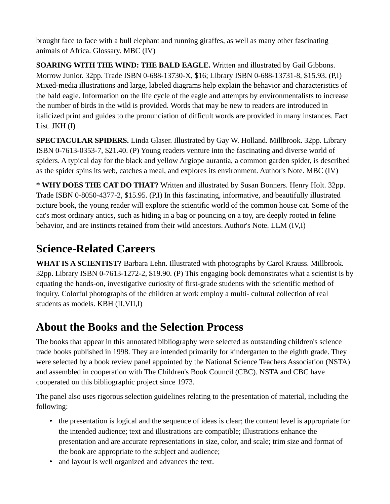brought face to face with a bull elephant and running giraffes, as well as many other fascinating animals of Africa. Glossary. MBC (IV)

**SOARING WITH THE WIND: THE BALD EAGLE.** Written and illustrated by Gail Gibbons. Morrow Junior. 32pp. Trade ISBN 0-688-13730-X, \$16; Library ISBN 0-688-13731-8, \$15.93. (P,I) Mixed-media illustrations and large, labeled diagrams help explain the behavior and characteristics of the bald eagle. Information on the life cycle of the eagle and attempts by environmentalists to increase the number of birds in the wild is provided. Words that may be new to readers are introduced in italicized print and guides to the pronunciation of difficult words are provided in many instances. Fact List. JKH (I)

**SPECTACULAR SPIDERS.** Linda Glaser. Illustrated by Gay W. Holland. Millbrook. 32pp. Library ISBN 0-7613-0353-7, \$21.40. (P) Young readers venture into the fascinating and diverse world of spiders. A typical day for the black and yellow Argiope aurantia, a common garden spider, is described as the spider spins its web, catches a meal, and explores its environment. Author's Note. MBC (IV)

**\* WHY DOES THE CAT DO THAT?** Written and illustrated by Susan Bonners. Henry Holt. 32pp. Trade ISBN 0-8050-4377-2, \$15.95. (P,I) In this fascinating, informative, and beautifully illustrated picture book, the young reader will explore the scientific world of the common house cat. Some of the cat's most ordinary antics, such as hiding in a bag or pouncing on a toy, are deeply rooted in feline behavior, and are instincts retained from their wild ancestors. Author's Note. LLM (IV,I)

# <span id="page-5-1"></span>**Science-Related Careers**

**WHAT IS A SCIENTIST?** Barbara Lehn. Illustrated with photographs by Carol Krauss. Millbrook. 32pp. Library ISBN 0-7613-1272-2, \$19.90. (P) This engaging book demonstrates what a scientist is by equating the hands-on, investigative curiosity of first-grade students with the scientific method of inquiry. Colorful photographs of the children at work employ a multi- cultural collection of real students as models. KBH (II,VII,I)

### <span id="page-5-0"></span>**About the Books and the Selection Process**

The books that appear in this annotated bibliography were selected as outstanding children's science trade books published in 1998. They are intended primarily for kindergarten to the eighth grade. They were selected by a book review panel appointed by the National Science Teachers Association (NSTA) and assembled in cooperation with The Children's Book Council (CBC). NSTA and CBC have cooperated on this bibliographic project since 1973.

The panel also uses rigorous selection guidelines relating to the presentation of material, including the following:

- the presentation is logical and the sequence of ideas is clear; the content level is appropriate for the intended audience; text and illustrations are compatible; illustrations enhance the presentation and are accurate representations in size, color, and scale; trim size and format of the book are appropriate to the subject and audience;
- and layout is well organized and advances the text.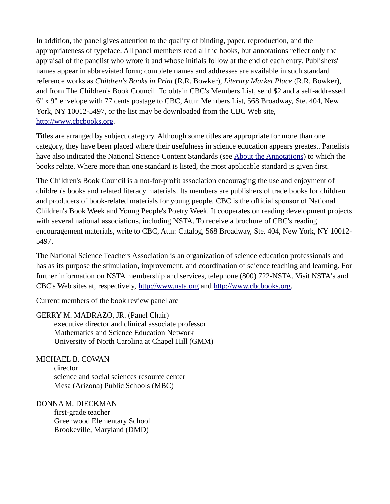In addition, the panel gives attention to the quality of binding, paper, reproduction, and the appropriateness of typeface. All panel members read all the books, but annotations reflect only the appraisal of the panelist who wrote it and whose initials follow at the end of each entry. Publishers' names appear in abbreviated form; complete names and addresses are available in such standard reference works as *Children's Books in Print* (R.R. Bowker), *Literary Market Place* (R.R. Bowker), and from The Children's Book Council. To obtain CBC's Members List, send \$2 and a self-addressed 6" x 9" envelope with 77 cents postage to CBC, Attn: Members List, 568 Broadway, Ste. 404, New York, NY 10012-5497, or the list may be downloaded from the CBC Web site, [http://www.cbcbooks.org.](http://www.cbcbooks.org/)

Titles are arranged by subject category. Although some titles are appropriate for more than one category, they have been placed where their usefulness in science education appears greatest. Panelists have also indicated the National Science Content Standards (see [About the Annotations](https://old.nsta.org/publications/ostb/ostb1999.aspx#annot)) to which the books relate. Where more than one standard is listed, the most applicable standard is given first.

The Children's Book Council is a not-for-profit association encouraging the use and enjoyment of children's books and related literacy materials. Its members are publishers of trade books for children and producers of book-related materials for young people. CBC is the official sponsor of National Children's Book Week and Young People's Poetry Week. It cooperates on reading development projects with several national associations, including NSTA. To receive a brochure of CBC's reading encouragement materials, write to CBC, Attn: Catalog, 568 Broadway, Ste. 404, New York, NY 10012- 5497.

The National Science Teachers Association is an organization of science education professionals and has as its purpose the stimulation, improvement, and coordination of science teaching and learning. For further information on NSTA membership and services, telephone (800) 722-NSTA. Visit NSTA's and CBC's Web sites at, respectively, [http://www.nsta.org](http://www.nsta.org/) and [http://www.cbcbooks.org.](http://www.cbcbooks.org/)

Current members of the book review panel are

GERRY M. MADRAZO, JR. (Panel Chair) executive director and clinical associate professor Mathematics and Science Education Network University of North Carolina at Chapel Hill (GMM)

MICHAEL B. COWAN director science and social sciences resource center Mesa (Arizona) Public Schools (MBC)

DONNA M. DIECKMAN first-grade teacher Greenwood Elementary School Brookeville, Maryland (DMD)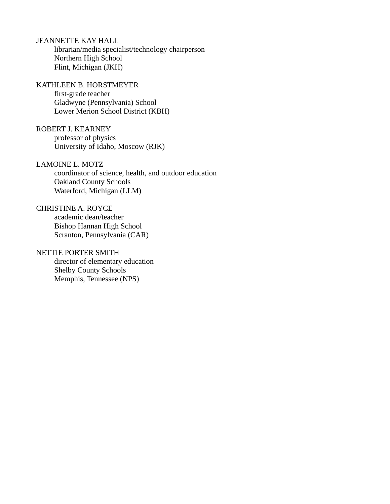JEANNETTE KAY HALL

librarian/media specialist/technology chairperson Northern High School Flint, Michigan (JKH)

KATHLEEN B. HORSTMEYER first-grade teacher Gladwyne (Pennsylvania) School Lower Merion School District (KBH)

ROBERT J. KEARNEY professor of physics University of Idaho, Moscow (RJK)

LAMOINE L. MOTZ

coordinator of science, health, and outdoor education Oakland County Schools Waterford, Michigan (LLM)

CHRISTINE A. ROYCE academic dean/teacher Bishop Hannan High School Scranton, Pennsylvania (CAR)

#### NETTIE PORTER SMITH

director of elementary education Shelby County Schools Memphis, Tennessee (NPS)